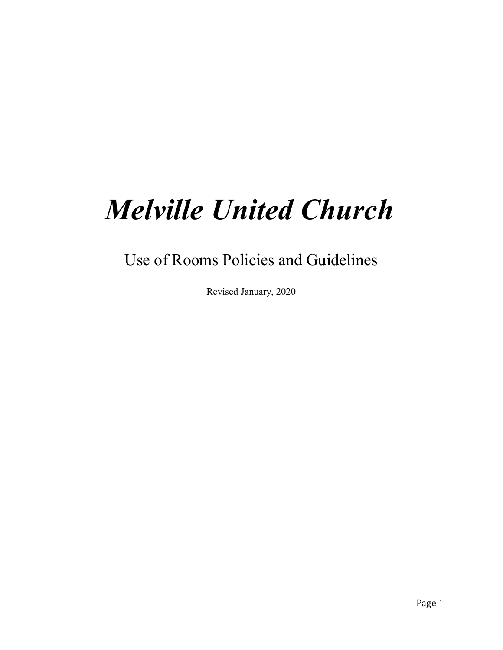# Melville United Church

Use of Rooms Policies and Guidelines

Revised January, 2020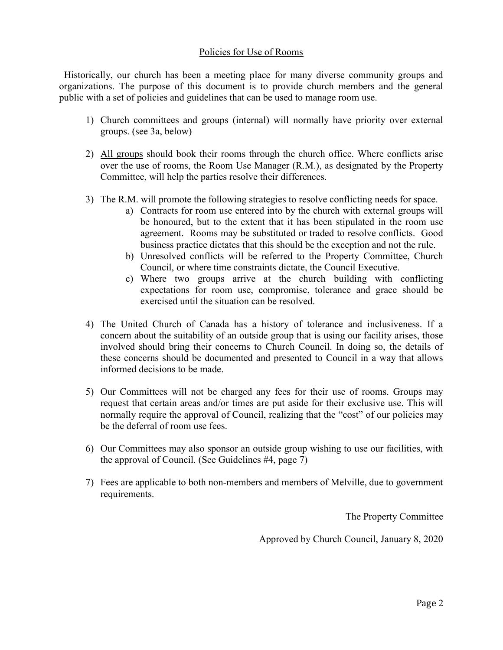#### Policies for Use of Rooms

 Historically, our church has been a meeting place for many diverse community groups and organizations. The purpose of this document is to provide church members and the general public with a set of policies and guidelines that can be used to manage room use.

- 1) Church committees and groups (internal) will normally have priority over external groups. (see 3a, below)
- 2) All groups should book their rooms through the church office. Where conflicts arise over the use of rooms, the Room Use Manager (R.M.), as designated by the Property Committee, will help the parties resolve their differences.
- 3) The R.M. will promote the following strategies to resolve conflicting needs for space.
	- a) Contracts for room use entered into by the church with external groups will be honoured, but to the extent that it has been stipulated in the room use agreement. Rooms may be substituted or traded to resolve conflicts. Good business practice dictates that this should be the exception and not the rule.
	- b) Unresolved conflicts will be referred to the Property Committee, Church Council, or where time constraints dictate, the Council Executive.
	- c) Where two groups arrive at the church building with conflicting expectations for room use, compromise, tolerance and grace should be exercised until the situation can be resolved.
- 4) The United Church of Canada has a history of tolerance and inclusiveness. If a concern about the suitability of an outside group that is using our facility arises, those involved should bring their concerns to Church Council. In doing so, the details of these concerns should be documented and presented to Council in a way that allows informed decisions to be made.
- 5) Our Committees will not be charged any fees for their use of rooms. Groups may request that certain areas and/or times are put aside for their exclusive use. This will normally require the approval of Council, realizing that the "cost" of our policies may be the deferral of room use fees.
- 6) Our Committees may also sponsor an outside group wishing to use our facilities, with the approval of Council. (See Guidelines #4, page 7)
- 7) Fees are applicable to both non-members and members of Melville, due to government requirements.

The Property Committee

Approved by Church Council, January 8, 2020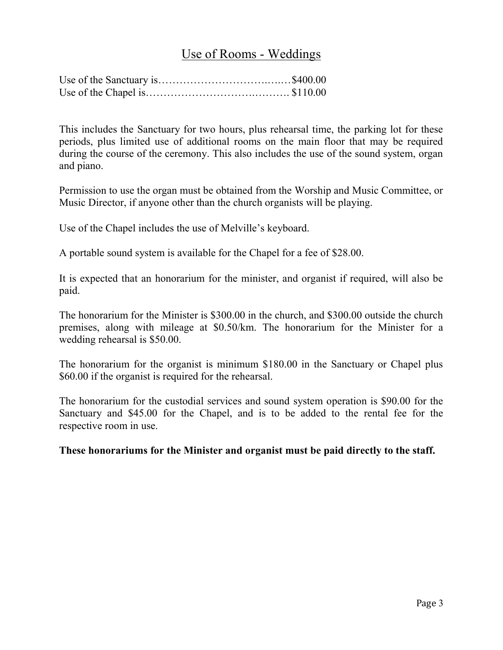### Use of Rooms - Weddings

This includes the Sanctuary for two hours, plus rehearsal time, the parking lot for these periods, plus limited use of additional rooms on the main floor that may be required during the course of the ceremony. This also includes the use of the sound system, organ and piano.

Permission to use the organ must be obtained from the Worship and Music Committee, or Music Director, if anyone other than the church organists will be playing.

Use of the Chapel includes the use of Melville's keyboard.

A portable sound system is available for the Chapel for a fee of \$28.00.

It is expected that an honorarium for the minister, and organist if required, will also be paid.

The honorarium for the Minister is \$300.00 in the church, and \$300.00 outside the church premises, along with mileage at \$0.50/km. The honorarium for the Minister for a wedding rehearsal is \$50.00.

The honorarium for the organist is minimum \$180.00 in the Sanctuary or Chapel plus \$60.00 if the organist is required for the rehearsal.

The honorarium for the custodial services and sound system operation is \$90.00 for the Sanctuary and \$45.00 for the Chapel, and is to be added to the rental fee for the respective room in use.

These honorariums for the Minister and organist must be paid directly to the staff.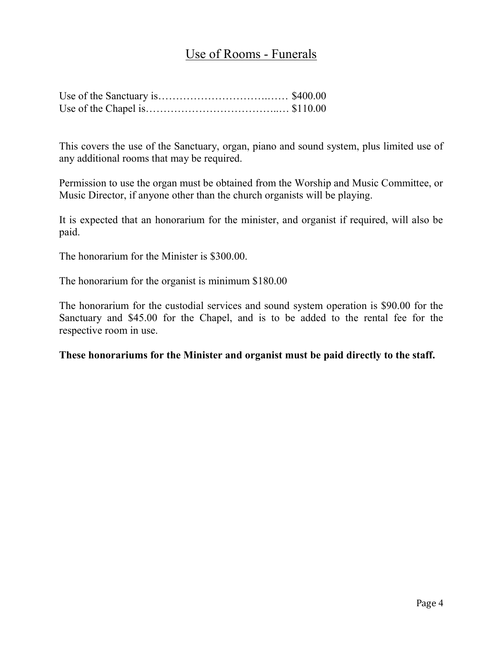## Use of Rooms - Funerals

This covers the use of the Sanctuary, organ, piano and sound system, plus limited use of any additional rooms that may be required.

Permission to use the organ must be obtained from the Worship and Music Committee, or Music Director, if anyone other than the church organists will be playing.

It is expected that an honorarium for the minister, and organist if required, will also be paid.

The honorarium for the Minister is \$300.00.

The honorarium for the organist is minimum \$180.00

The honorarium for the custodial services and sound system operation is \$90.00 for the Sanctuary and \$45.00 for the Chapel, and is to be added to the rental fee for the respective room in use.

These honorariums for the Minister and organist must be paid directly to the staff.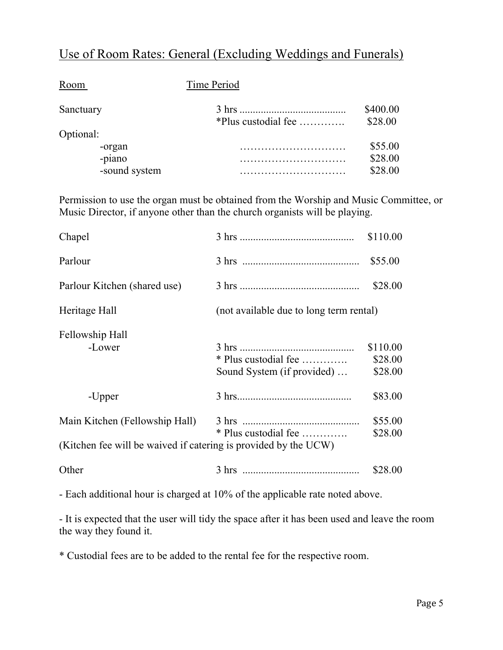## Use of Room Rates: General (Excluding Weddings and Funerals)

| Room          | Time Period         |                     |
|---------------|---------------------|---------------------|
| Sanctuary     | *Plus custodial fee | \$400.00<br>\$28.00 |
| Optional:     |                     |                     |
| -organ        |                     | \$55.00             |
| -piano        |                     | \$28.00             |
| -sound system |                     | \$28.00             |

Permission to use the organ must be obtained from the Worship and Music Committee, or Music Director, if anyone other than the church organists will be playing.

| Chapel                                                                                            |                                                    | \$110.00                       |
|---------------------------------------------------------------------------------------------------|----------------------------------------------------|--------------------------------|
| Parlour                                                                                           |                                                    | \$55.00                        |
| Parlour Kitchen (shared use)                                                                      |                                                    | \$28.00                        |
| Heritage Hall                                                                                     | (not available due to long term rental)            |                                |
| Fellowship Hall<br>-Lower                                                                         | * Plus custodial fee<br>Sound System (if provided) | \$110.00<br>\$28.00<br>\$28.00 |
| -Upper                                                                                            | $3 \text{ hrs.}$                                   | \$83.00                        |
| Main Kitchen (Fellowship Hall)<br>(Kitchen fee will be waived if catering is provided by the UCW) | * Plus custodial fee                               | \$55.00<br>\$28.00             |
| Other                                                                                             |                                                    | \$28.00                        |

- Each additional hour is charged at 10% of the applicable rate noted above.

- It is expected that the user will tidy the space after it has been used and leave the room the way they found it.

\* Custodial fees are to be added to the rental fee for the respective room.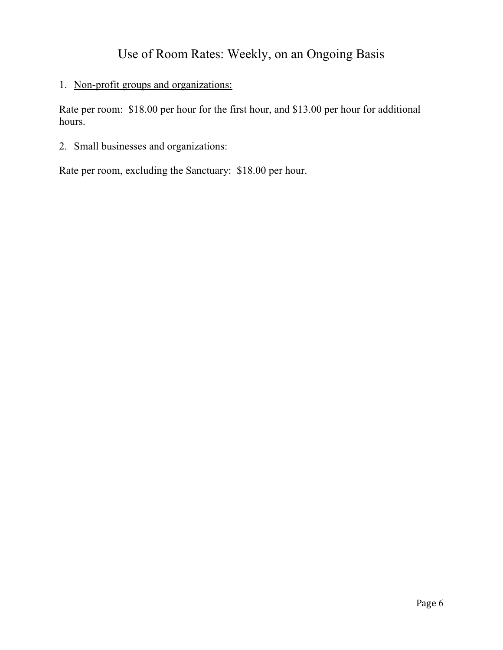## Use of Room Rates: Weekly, on an Ongoing Basis

#### 1. Non-profit groups and organizations:

Rate per room: \$18.00 per hour for the first hour, and \$13.00 per hour for additional hours.

#### 2. Small businesses and organizations:

Rate per room, excluding the Sanctuary: \$18.00 per hour.